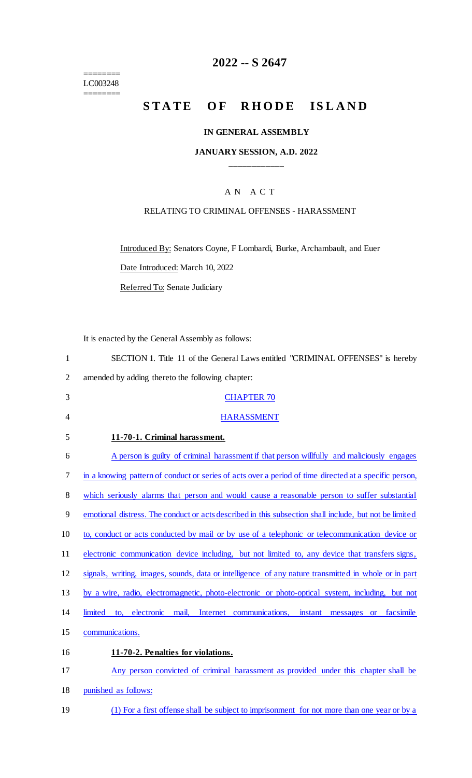======== LC003248

 $=$ 

## **2022 -- S 2647**

# **STATE OF RHODE ISLAND**

### **IN GENERAL ASSEMBLY**

### **JANUARY SESSION, A.D. 2022 \_\_\_\_\_\_\_\_\_\_\_\_**

## A N A C T

#### RELATING TO CRIMINAL OFFENSES - HARASSMENT

Introduced By: Senators Coyne, F Lombardi, Burke, Archambault, and Euer

Date Introduced: March 10, 2022

Referred To: Senate Judiciary

It is enacted by the General Assembly as follows:

| $\mathbf{1}$   | SECTION 1. Title 11 of the General Laws entitled "CRIMINAL OFFENSES" is hereby                                  |
|----------------|-----------------------------------------------------------------------------------------------------------------|
| $\overline{2}$ | amended by adding thereto the following chapter:                                                                |
| 3              | <b>CHAPTER 70</b>                                                                                               |
| $\overline{4}$ | <b>HARASSMENT</b>                                                                                               |
| 5              | 11-70-1. Criminal harassment.                                                                                   |
| 6              | A person is guilty of criminal harassment if that person willfully and maliciously engages                      |
| 7              | in a knowing pattern of conduct or series of acts over a period of time directed at a specific person,          |
| 8              | which seriously alarms that person and would cause a reasonable person to suffer substantial                    |
| 9              | emotional distress. The conduct or acts described in this subsection shall include, but not be limited          |
| 10             | to, conduct or acts conducted by mail or by use of a telephonic or telecommunication device or                  |
| 11             | electronic communication device including, but not limited to, any device that transfers signs,                 |
| 12             | signals, writing, images, sounds, data or intelligence of any nature transmitted in whole or in part            |
| 13             | by a wire, radio, electromagnetic, photo-electronic or photo-optical system, including, but not                 |
| 14             | Internet communications,<br>facsimile<br>limited<br>to, electronic<br>mail,<br>instant<br>messages<br><b>or</b> |
| 15             | communications.                                                                                                 |
| 16             | 11-70-2. Penalties for violations.                                                                              |
| 17             | Any person convicted of criminal harassment as provided under this chapter shall be                             |
| 18             | punished as follows:                                                                                            |

19 (1) For a first offense shall be subject to imprisonment for not more than one year or by a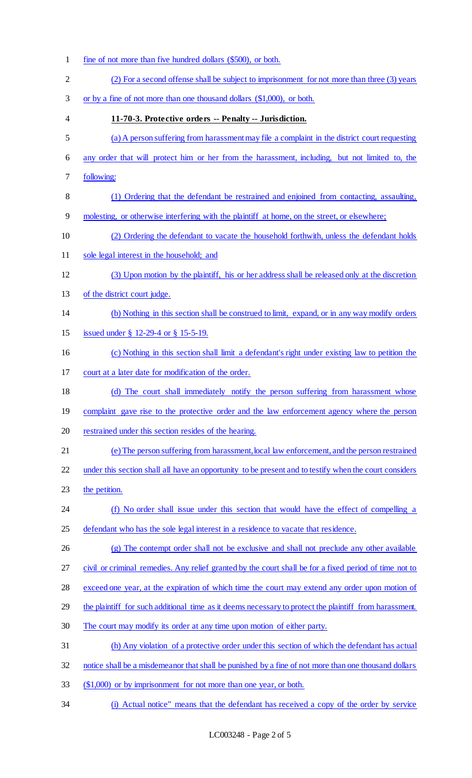fine of not more than five hundred dollars (\$500), or both. (2) For a second offense shall be subject to imprisonment for not more than three (3) years or by a fine of not more than one thousand dollars (\$1,000), or both. **11-70-3. Protective orders -- Penalty -- Jurisdiction.** (a)A person suffering from harassment may file a complaint in the district court requesting any order that will protect him or her from the harassment, including, but not limited to, the following: (1) Ordering that the defendant be restrained and enjoined from contacting, assaulting, molesting, or otherwise interfering with the plaintiff at home, on the street, or elsewhere; (2) Ordering the defendant to vacate the household forthwith, unless the defendant holds 11 sole legal interest in the household; and (3) Upon motion by the plaintiff, his or her address shall be released only at the discretion of the district court judge. (b) Nothing in this section shall be construed to limit, expand, or in any way modify orders issued under § 12-29-4 or § 15-5-19. (c) Nothing in this section shall limit a defendant's right under existing law to petition the court at a later date for modification of the order. (d) The court shall immediately notify the person suffering from harassment whose 19 complaint gave rise to the protective order and the law enforcement agency where the person restrained under this section resides of the hearing. (e)The person suffering from harassment, local law enforcement, and the person restrained under this section shall all have an opportunity to be present and to testify when the court considers 23 the petition. 24 (f) No order shall issue under this section that would have the effect of compelling a 25 defendant who has the sole legal interest in a residence to vacate that residence. (g) The contempt order shall not be exclusive and shall not preclude any other available 27 civil or criminal remedies. Any relief granted by the court shall be for a fixed period of time not to exceed one year, at the expiration of which time the court may extend any order upon motion of 29 the plaintiff for such additional time as it deems necessary to protect the plaintiff from harassment. The court may modify its order at any time upon motion of either party. (h) Any violation of a protective order under this section of which the defendant has actual notice shall be a misdemeanor that shall be punished by a fine of not more than one thousand dollars (\$1,000) or by imprisonment for not more than one year, or both. (i) Actual notice" means that the defendant has received a copy of the order by service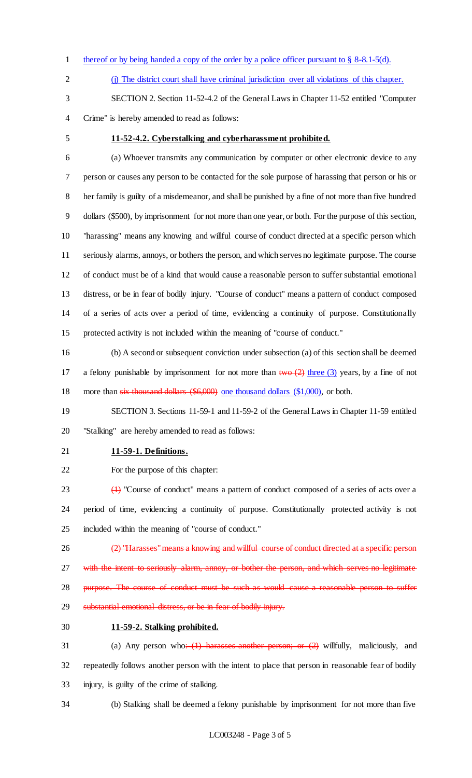- 1 thereof or by being handed a copy of the order by a police officer pursuant to § 8-8.1-5(d).
- 
- (j) The district court shall have criminal jurisdiction over all violations of this chapter.
- SECTION 2. Section 11-52-4.2 of the General Laws in Chapter 11-52 entitled "Computer Crime" is hereby amended to read as follows:
- 

#### **11-52-4.2. Cyberstalking and cyberharassment prohibited.**

 (a) Whoever transmits any communication by computer or other electronic device to any person or causes any person to be contacted for the sole purpose of harassing that person or his or her family is guilty of a misdemeanor, and shall be punished by a fine of not more than five hundred dollars (\$500), by imprisonment for not more than one year, or both. For the purpose of this section, "harassing" means any knowing and willful course of conduct directed at a specific person which seriously alarms, annoys, or bothers the person, and which serves no legitimate purpose. The course of conduct must be of a kind that would cause a reasonable person to suffer substantial emotional distress, or be in fear of bodily injury. "Course of conduct" means a pattern of conduct composed of a series of acts over a period of time, evidencing a continuity of purpose. Constitutionally protected activity is not included within the meaning of "course of conduct."

 (b) A second or subsequent conviction under subsection (a) of this section shall be deemed 17 a felony punishable by imprisonment for not more than  $two (2)$  three (3) years, by a fine of not more than six thousand dollars (\$6,000) one thousand dollars (\$1,000), or both.

 SECTION 3. Sections 11-59-1 and 11-59-2 of the General Laws in Chapter 11-59 entitled "Stalking" are hereby amended to read as follows:

- **11-59-1. Definitions.**
- For the purpose of this chapter:

 (1) "Course of conduct" means a pattern of conduct composed of a series of acts over a period of time, evidencing a continuity of purpose. Constitutionally protected activity is not included within the meaning of "course of conduct."

26 (2) "Harasses" means a knowing and willful course of conduct directed at a specific person 27 with the intent to seriously alarm, annoy, or bother the person, and which serves no legitimate 28 purpose. The course of conduct must be such as would cause a reasonable person to suffer substantial emotional distress, or be in fear of bodily injury.

**11-59-2. Stalking prohibited.**

31 (a) Any person who<del>: (1) harasses another person; or (2)</del> willfully, maliciously, and repeatedly follows another person with the intent to place that person in reasonable fear of bodily injury, is guilty of the crime of stalking.

(b) Stalking shall be deemed a felony punishable by imprisonment for not more than five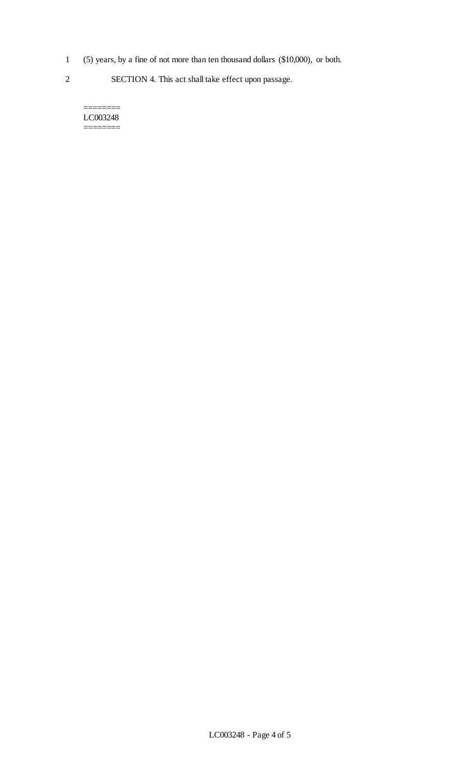- 1 (5) years, by a fine of not more than ten thousand dollars (\$10,000), or both.
- 2 SECTION 4. This act shall take effect upon passage.

======== LC003248 ========